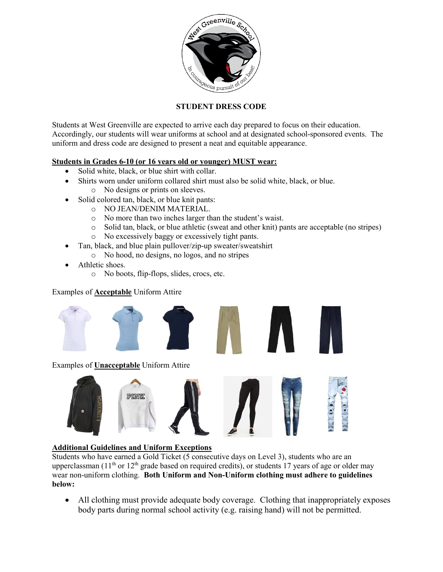

## **STUDENT DRESS CODE**

Students at West Greenville are expected to arrive each day prepared to focus on their education. Accordingly, our students will wear uniforms at school and at designated school-sponsored events. The uniform and dress code are designed to present a neat and equitable appearance.

## **Students in Grades 6-10 (or 16 years old or younger) MUST wear:**

- Solid white, black, or blue shirt with collar.
- Shirts worn under uniform collared shirt must also be solid white, black, or blue. o No designs or prints on sleeves.
	- Solid colored tan, black, or blue knit pants:
		- o NO JEAN/DENIM MATERIAL.
			-
			- o No more than two inches larger than the student's waist.
			- o Solid tan, black, or blue athletic (sweat and other knit) pants are acceptable (no stripes)
			- o No excessively baggy or excessively tight pants.
- Tan, black, and blue plain pullover/zip-up sweater/sweatshirt
	- o No hood, no designs, no logos, and no stripes
- Athletic shoes.
	- o No boots, flip-flops, slides, crocs, etc.

## Examples of **Acceptable** Uniform Attire



Examples of **Unacceptable** Uniform Attire



## **Additional Guidelines and Uniform Exceptions**

Students who have earned a Gold Ticket (5 consecutive days on Level 3), students who are an upperclassman (11<sup>th</sup> or 12<sup>th</sup> grade based on required credits), or students 17 years of age or older may wear non-uniform clothing. **Both Uniform and Non-Uniform clothing must adhere to guidelines below:**

• All clothing must provide adequate body coverage. Clothing that inappropriately exposes body parts during normal school activity (e.g. raising hand) will not be permitted.